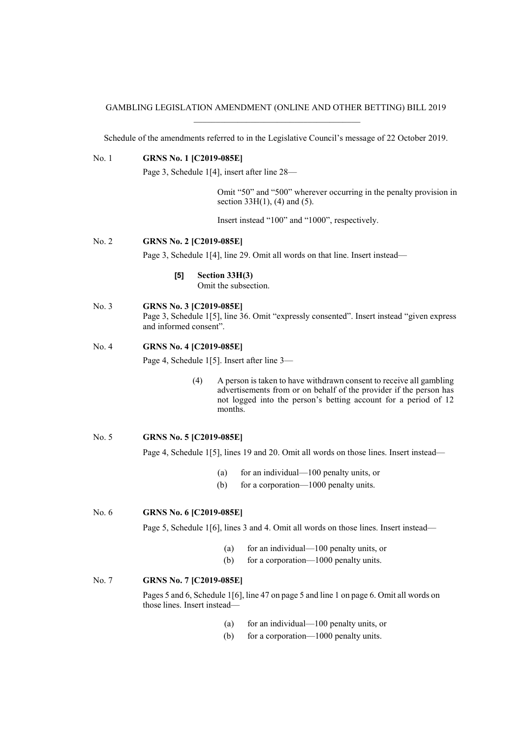### GAMBLING LEGISLATION AMENDMENT (ONLINE AND OTHER BETTING) BILL 2019 \_\_\_\_\_\_\_\_\_\_\_\_\_\_\_\_\_\_\_\_\_\_\_\_\_\_\_\_\_\_\_\_\_\_\_\_\_\_

Schedule of the amendments referred to in the Legislative Council's message of 22 October 2019.

## No. 1 **GRNS No. 1 [C2019-085E]**

Page 3, Schedule 1[4], insert after line 28—

Omit "50" and "500" wherever occurring in the penalty provision in section  $33H(1)$ , (4) and (5).

Insert instead "100" and "1000", respectively.

### No. 2 **GRNS No. 2 [C2019-085E]**

Page 3, Schedule 1[4], line 29. Omit all words on that line. Insert instead—

## **[5] Section 33H(3)**

Omit the subsection.

### No. 3 **GRNS No. 3 [C2019-085E]**

Page 3, Schedule 1[5], line 36. Omit "expressly consented". Insert instead "given express and informed consent".

#### No. 4 **GRNS No. 4 [C2019-085E]**

Page 4, Schedule 1[5]. Insert after line 3—

(4) A person is taken to have withdrawn consent to receive all gambling advertisements from or on behalf of the provider if the person has not logged into the person's betting account for a period of 12 months.

# No. 5 **GRNS No. 5 [C2019-085E]**

Page 4, Schedule 1[5], lines 19 and 20. Omit all words on those lines. Insert instead—

- (a) for an individual—100 penalty units, or
- (b) for a corporation—1000 penalty units.

No. 6 **GRNS No. 6 [C2019-085E]**

Page 5, Schedule 1[6], lines 3 and 4. Omit all words on those lines. Insert instead—

- (a) for an individual—100 penalty units, or
- (b) for a corporation—1000 penalty units.

### No. 7 **GRNS No. 7 [C2019-085E]**

Pages 5 and 6, Schedule 1[6], line 47 on page 5 and line 1 on page 6. Omit all words on those lines. Insert instead—

- (a) for an individual—100 penalty units, or
- (b) for a corporation—1000 penalty units.